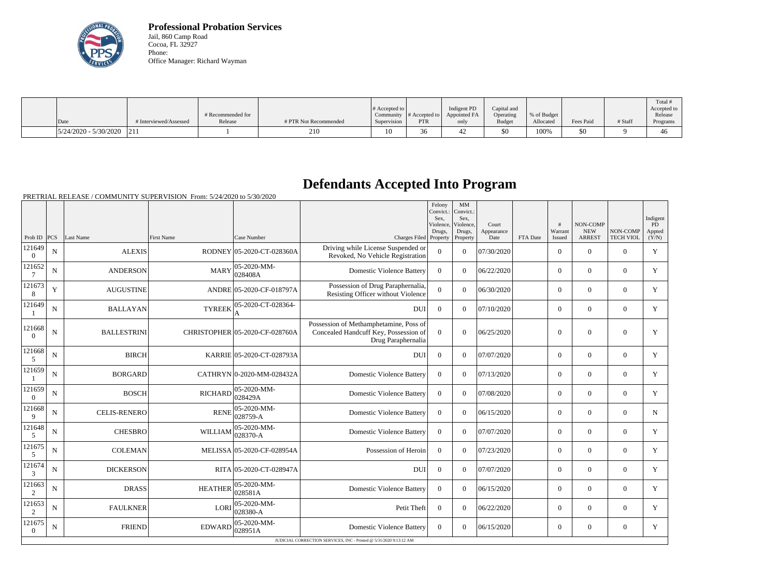

**Professional Probation Services** Jail, 860 Camp Road Cocoa, FL 32927 Phone: Office Manager: Richard Wayman

|                               |                        |                   |                       |                       |                                |              |               |             |           |         | Total #     |
|-------------------------------|------------------------|-------------------|-----------------------|-----------------------|--------------------------------|--------------|---------------|-------------|-----------|---------|-------------|
|                               |                        |                   |                       | # Accepted to $\vert$ |                                | Indigent PD  | Capital and   |             |           |         | Accepted to |
|                               |                        | # Recommended for |                       |                       | Community $ #$ Accepted to $ $ | Appointed FA | Operating     | % of Budget |           |         | Release     |
| Date                          | # Interviewed/Assessed | Release           | # PTR Not Recommended | Supervision           | <b>PTR</b>                     | only         | <b>Budget</b> | Allocated   | Fees Paid | # Staff | Programs    |
| $ 5/24/2020 - 5/30/2020 $ 211 |                        |                   | 210                   | 10                    | $\sim$<br>30                   |              | \$0           | 100%        | \$0       |         | 46          |

## **Defendants Accepted Into Program**

PRETRIAL RELEASE / COMMUNITY SUPERVISION From: 5/24/2020 to 5/30/2020

|                            |                |                     |                   |                                |                                                                                                       | Felony<br>Convict.:<br>Sex.<br>Violence,<br>Drugs, | MM<br>Convict.:<br>Sex.<br>Violence,<br>Drugs, | Court<br>Appearance |          | $\pm$<br>Warrant | NON-COMP<br><b>NEW</b> | NON-COMP         | Indigent<br><b>PD</b><br>Appted |
|----------------------------|----------------|---------------------|-------------------|--------------------------------|-------------------------------------------------------------------------------------------------------|----------------------------------------------------|------------------------------------------------|---------------------|----------|------------------|------------------------|------------------|---------------------------------|
| Prob ID $ PCS $            |                | Last Name           | <b>First Name</b> | Case Number                    | Charges Filed Property                                                                                |                                                    | Property                                       | Date                | FTA Date | Issued           | <b>ARREST</b>          | <b>TECH VIOL</b> | (Y/N)                           |
| 121649<br>$\Omega$         | N              | <b>ALEXIS</b>       |                   | RODNEY 05-2020-CT-028360A      | Driving while License Suspended or<br>Revoked, No Vehicle Registration                                | $\overline{0}$                                     | $\theta$                                       | 07/30/2020          |          | $\overline{0}$   | $\mathbf{0}$           | $\overline{0}$   | Y                               |
| 121652<br>$7\phantom{.0}$  | N              | <b>ANDERSON</b>     | <b>MARY</b>       | 05-2020-MM-<br>028408A         | <b>Domestic Violence Battery</b>                                                                      | $\Omega$                                           | $\theta$                                       | 06/22/2020          |          | $\Omega$         | $\Omega$               | $\Omega$         | Y                               |
| 121673<br>8                | Y              | <b>AUGUSTINE</b>    |                   | ANDRE 05-2020-CF-018797A       | Possession of Drug Paraphernalia,<br>Resisting Officer without Violence                               | $\theta$                                           | $\Omega$                                       | 06/30/2020          |          | $\Omega$         | $\Omega$               | $\Omega$         | Y                               |
| 121649                     | N              | <b>BALLAYAN</b>     | <b>TYREEK</b>     | 05-2020-CT-028364-<br>А        | <b>DUI</b>                                                                                            | $\overline{0}$                                     | $\theta$                                       | 07/10/2020          |          | $\overline{0}$   | $\mathbf{0}$           | $\overline{0}$   | Y                               |
| 121668<br>$\Omega$         | N              | <b>BALLESTRINI</b>  |                   | CHRISTOPHER 05-2020-CF-028760A | Possession of Methamphetamine, Poss of<br>Concealed Handcuff Key, Possession of<br>Drug Paraphernalia | $\theta$                                           | $\theta$                                       | 06/25/2020          |          | $\theta$         | $\Omega$               | $\overline{0}$   | Y                               |
| 121668<br>5                | N              | <b>BIRCH</b>        |                   | KARRIE 05-2020-CT-028793A      | <b>DUI</b>                                                                                            | $\Omega$                                           | $\Omega$                                       | 07/07/2020          |          | $\Omega$         | $\Omega$               | $\overline{0}$   | Y                               |
| 121659                     | $\overline{N}$ | <b>BORGARD</b>      |                   | CATHRYN 0-2020-MM-028432A      | <b>Domestic Violence Battery</b>                                                                      | $\Omega$                                           | $\Omega$                                       | 07/13/2020          |          | $\overline{0}$   | $\mathbf{0}$           | $\overline{0}$   | Y                               |
| 121659<br>$\Omega$         | ${\bf N}$      | <b>BOSCH</b>        | <b>RICHARD</b>    | 05-2020-MM-<br>028429A         | <b>Domestic Violence Battery</b>                                                                      | $\overline{0}$                                     | $\Omega$                                       | 07/08/2020          |          | $\overline{0}$   | $\mathbf{0}$           | $\mathbf{0}$     | Y                               |
| 121668<br>9                | N              | <b>CELIS-RENERO</b> | <b>RENE</b>       | 05-2020-MM-<br>028759-A        | <b>Domestic Violence Battery</b>                                                                      | $\Omega$                                           | $\theta$                                       | 06/15/2020          |          | $\overline{0}$   | $\Omega$               | $\Omega$         | N                               |
| 121648<br>5                | N              | <b>CHESBRO</b>      | WILLIAM           | 05-2020-MM-<br>028370-A        | <b>Domestic Violence Battery</b>                                                                      | $\Omega$                                           | $\Omega$                                       | 07/07/2020          |          | $\Omega$         | $\Omega$               | $\Omega$         | Y                               |
| 121675<br>5                | N              | <b>COLEMAN</b>      |                   | MELISSA 05-2020-CF-028954A     | Possession of Heroin                                                                                  | $\overline{0}$                                     | $\overline{0}$                                 | 07/23/2020          |          | $\overline{0}$   | $\mathbf{0}$           | $\overline{0}$   | Y                               |
| 121674<br>3                | N              | <b>DICKERSON</b>    |                   | RITA 05-2020-CT-028947A        | <b>DUI</b>                                                                                            | $\overline{0}$                                     | $\theta$                                       | 07/07/2020          |          | $\overline{0}$   | $\Omega$               | $\overline{0}$   | Y                               |
| 121663<br>2                | N              | <b>DRASS</b>        | <b>HEATHER</b>    | 05-2020-MM-<br>028581A         | <b>Domestic Violence Battery</b>                                                                      | $\theta$                                           | $\Omega$                                       | 06/15/2020          |          | $\Omega$         | $\theta$               | $\Omega$         | Y                               |
| 121653<br>2                | N              | <b>FAULKNER</b>     | LORI              | 05-2020-MM-<br>028380-A        | Petit Theft                                                                                           | $\Omega$                                           | $\Omega$                                       | 06/22/2020          |          | $\Omega$         | $\Omega$               | $\Omega$         | Y                               |
| 121675<br>$\boldsymbol{0}$ | $\mathbf N$    | <b>FRIEND</b>       | EDWARD            | 05-2020-MM-<br>028951A         | <b>Domestic Violence Battery</b>                                                                      | $\overline{0}$                                     | $\Omega$                                       | 06/15/2020          |          | $\overline{0}$   | $\mathbf{0}$           | $\overline{0}$   | Y                               |
|                            |                |                     |                   |                                | JUDICIAL CORRECTION SERVICES, INC - Printed @ 5/31/2020 9:13:12 AM                                    |                                                    |                                                |                     |          |                  |                        |                  |                                 |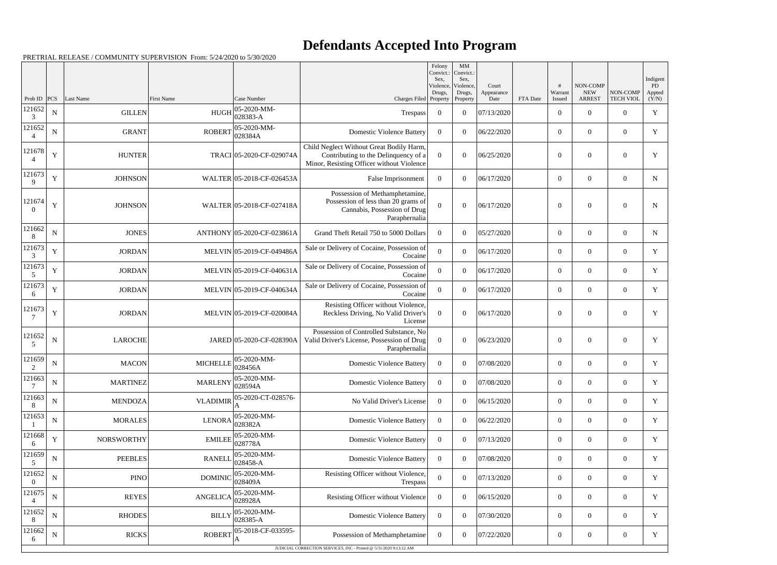## **Defendants Accepted Into Program**

PRETRIAL RELEASE / COMMUNITY SUPERVISION From: 5/24/2020 to 5/30/2020

|                          |             |                   |                   |                            |                                                                                                                               | Felony<br>Convict.:<br>Sex. | MM<br>Convict.:<br>Sex,         |                             |          |                   |                                         |                              | Indigent              |
|--------------------------|-------------|-------------------|-------------------|----------------------------|-------------------------------------------------------------------------------------------------------------------------------|-----------------------------|---------------------------------|-----------------------------|----------|-------------------|-----------------------------------------|------------------------------|-----------------------|
| Prob ID                  | PCS         | Last Name         | <b>First Name</b> | Case Number                | Charges Filed Property                                                                                                        | Violence,<br>Drugs,         | Violence,<br>Drugs,<br>Property | Court<br>Appearance<br>Date | FTA Date | Warrant<br>Issued | NON-COMP<br><b>NEW</b><br><b>ARREST</b> | NON-COMP<br><b>TECH VIOL</b> | PD<br>Appted<br>(Y/N) |
| 121652<br>3              | ${\bf N}$   | <b>GILLEN</b>     | <b>HUGH</b>       | 05-2020-MM-<br>028383-A    | Trespass                                                                                                                      | $\overline{0}$              | $\overline{0}$                  | 07/13/2020                  |          | $\overline{0}$    | $\theta$                                | $\theta$                     | $\mathbf Y$           |
| 121652                   | $\mathbf N$ | <b>GRANT</b>      | <b>ROBERT</b>     | 05-2020-MM-<br>028384A     | <b>Domestic Violence Battery</b>                                                                                              | $\overline{0}$              | $\theta$                        | 06/22/2020                  |          | $\overline{0}$    | $\overline{0}$                          | $\overline{0}$               | Y                     |
| 121678<br>$\overline{4}$ | Y           | <b>HUNTER</b>     |                   | TRACI 05-2020-CF-029074A   | Child Neglect Without Great Bodily Harm,<br>Contributing to the Delinquency of a<br>Minor, Resisting Officer without Violence | $\overline{0}$              | $\boldsymbol{0}$                | 06/25/2020                  |          | $\theta$          | $\overline{0}$                          | $\overline{0}$               | Y                     |
| 121673<br>$\mathbf{Q}$   | $\mathbf Y$ | <b>JOHNSON</b>    |                   | WALTER 05-2018-CF-026453A  | False Imprisonment                                                                                                            | $\overline{0}$              | $\theta$                        | 06/17/2020                  |          | $\overline{0}$    | $\overline{0}$                          | $\overline{0}$               | ${\bf N}$             |
| 121674<br>$\Omega$       | Y           | <b>JOHNSON</b>    |                   | WALTER 05-2018-CF-027418A  | Possession of Methamphetamine,<br>Possession of less than 20 grams of<br>Cannabis, Possession of Drug<br>Paraphernalia        | $\mathbf{0}$                | $\Omega$                        | 06/17/2020                  |          | $\theta$          | $\overline{0}$                          | $\boldsymbol{0}$             | $\mathbf N$           |
| 121662                   | $\mathbf N$ | <b>JONES</b>      |                   | ANTHONY 05-2020-CF-023861A | Grand Theft Retail 750 to 5000 Dollars                                                                                        | $\Omega$                    | $\Omega$                        | 05/27/2020                  |          | $\overline{0}$    | $\overline{0}$                          | $\overline{0}$               | $\mathbf N$           |
| 121673<br>3              | $\mathbf Y$ | <b>JORDAN</b>     |                   | MELVIN 05-2019-CF-049486A  | Sale or Delivery of Cocaine, Possession of<br>Cocaine                                                                         | $\boldsymbol{0}$            | $\theta$                        | 06/17/2020                  |          | $\overline{0}$    | $\overline{0}$                          | $\overline{0}$               | Y                     |
| 121673<br>5              | $\mathbf Y$ | <b>JORDAN</b>     |                   | MELVIN 05-2019-CF-040631A  | Sale or Delivery of Cocaine, Possession of<br>Cocaine                                                                         | $\overline{0}$              | $\overline{0}$                  | 06/17/2020                  |          | $\overline{0}$    | $\overline{0}$                          | $\overline{0}$               | Y                     |
| 121673<br>6              | Y           | <b>JORDAN</b>     |                   | MELVIN 05-2019-CF-040634A  | Sale or Delivery of Cocaine, Possession of<br>Cocaine                                                                         | $\mathbf{0}$                | $\Omega$                        | 06/17/2020                  |          | $\overline{0}$    | $\overline{0}$                          | $\overline{0}$               | Y                     |
| 121673                   | Y           | <b>JORDAN</b>     |                   | MELVIN 05-2019-CF-020084A  | Resisting Officer without Violence,<br>Reckless Driving, No Valid Driver's<br>License                                         | $\boldsymbol{0}$            | $\boldsymbol{0}$                | 06/17/2020                  |          | $\overline{0}$    | $\overline{0}$                          | $\boldsymbol{0}$             | Y                     |
| 121652<br>5              | ${\bf N}$   | <b>LAROCHE</b>    |                   | JARED 05-2020-CF-028390A   | Possession of Controlled Substance, No<br>Valid Driver's License, Possession of Drug<br>Paraphernalia                         | $\overline{0}$              | $\Omega$                        | 06/23/2020                  |          | $\overline{0}$    | $\overline{0}$                          | $\overline{0}$               | Y                     |
| 121659<br>2              | ${\bf N}$   | <b>MACON</b>      | <b>MICHELLE</b>   | 05-2020-MM-<br>028456A     | <b>Domestic Violence Battery</b>                                                                                              | $\overline{0}$              | $\overline{0}$                  | 07/08/2020                  |          | $\overline{0}$    | $\overline{0}$                          | $\overline{0}$               | Y                     |
| 121663<br>$\tau$         | ${\bf N}$   | <b>MARTINEZ</b>   | <b>MARLENY</b>    | 05-2020-MM-<br>028594A     | <b>Domestic Violence Battery</b>                                                                                              | $\overline{0}$              | $\overline{0}$                  | 07/08/2020                  |          | $\boldsymbol{0}$  | $\boldsymbol{0}$                        | $\boldsymbol{0}$             | Y                     |
| 121663<br>8              | ${\bf N}$   | <b>MENDOZA</b>    | <b>VLADIMIR</b>   | 05-2020-CT-028576-<br>А    | No Valid Driver's License                                                                                                     | $\overline{0}$              | $\overline{0}$                  | 06/15/2020                  |          | $\overline{0}$    | $\overline{0}$                          | $\overline{0}$               | Y                     |
| 121653                   | ${\bf N}$   | <b>MORALES</b>    | <b>LENORA</b>     | 05-2020-MM-<br>028382A     | <b>Domestic Violence Battery</b>                                                                                              | $\overline{0}$              | $\theta$                        | 06/22/2020                  |          | $\overline{0}$    | $\overline{0}$                          | $\overline{0}$               | Y                     |
| 121668<br>6              | Y           | <b>NORSWORTHY</b> | <b>EMILEE</b>     | 05-2020-MM-<br>028778A     | <b>Domestic Violence Battery</b>                                                                                              | $\overline{0}$              | $\overline{0}$                  | 07/13/2020                  |          | $\overline{0}$    | $\overline{0}$                          | $\overline{0}$               | Y                     |
| 121659<br>5              | ${\bf N}$   | <b>PEEBLES</b>    | <b>RANELI</b>     | 05-2020-MM-<br>028458-A    | <b>Domestic Violence Battery</b>                                                                                              | $\overline{0}$              | $\overline{0}$                  | 07/08/2020                  |          | $\boldsymbol{0}$  | $\boldsymbol{0}$                        | $\boldsymbol{0}$             | $\mathbf Y$           |
| 121652<br>$\theta$       | ${\bf N}$   | <b>PINO</b>       | <b>DOMINIC</b>    | 05-2020-MM-<br>028409A     | Resisting Officer without Violence,<br>Trespass                                                                               | $\mathbf{0}$                | $\overline{0}$                  | 07/13/2020                  |          | $\overline{0}$    | $\overline{0}$                          | $\overline{0}$               | Y                     |
| 121675                   | N           | <b>REYES</b>      | <b>ANGELICA</b>   | 05-2020-MM-<br>028928A     | Resisting Officer without Violence                                                                                            | $\overline{0}$              | $\theta$                        | 06/15/2020                  |          | $\boldsymbol{0}$  | $\overline{0}$                          | $\overline{0}$               | Y                     |
| 121652<br>8              | ${\bf N}$   | <b>RHODES</b>     | <b>BILLY</b>      | 05-2020-MM-<br>028385-A    | <b>Domestic Violence Battery</b>                                                                                              | $\overline{0}$              | $\overline{0}$                  | 07/30/2020                  |          | $\overline{0}$    | $\overline{0}$                          | $\overline{0}$               | Y                     |
| 121662<br>6              | ${\bf N}$   | <b>RICKS</b>      | <b>ROBERT</b>     | 05-2018-CF-033595-<br>A    | Possession of Methamphetamine                                                                                                 | $\overline{0}$              | $\overline{0}$                  | 07/22/2020                  |          | $\boldsymbol{0}$  | $\overline{0}$                          | $\boldsymbol{0}$             | $\mathbf Y$           |
|                          |             |                   |                   |                            | JUDICIAL CORRECTION SERVICES, INC - Printed @ 5/31/2020 9:13:12 AM                                                            |                             |                                 |                             |          |                   |                                         |                              |                       |